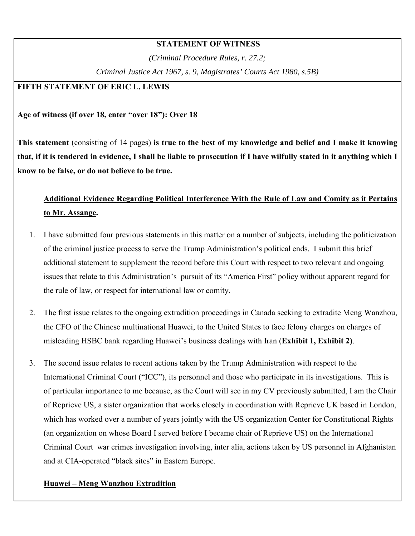## **STATEMENT OF WITNESS**

*(Criminal Procedure Rules, r. 27.2; Criminal Justice Act 1967, s. 9, Magistrates' Courts Act 1980, s.5B)* 

# **FIFTH STATEMENT OF ERIC L. LEWIS**

#### **Age of witness (if over 18, enter "over 18"): Over 18**

**This statement** (consisting of 14 pages) **is true to the best of my knowledge and belief and I make it knowing that, if it is tendered in evidence, I shall be liable to prosecution if I have wilfully stated in it anything which I know to be false, or do not believe to be true.** 

# **Additional Evidence Regarding Political Interference With the Rule of Law and Comity as it Pertains to Mr. Assange.**

- 1. I have submitted four previous statements in this matter on a number of subjects, including the politicization of the criminal justice process to serve the Trump Administration's political ends. I submit this brief additional statement to supplement the record before this Court with respect to two relevant and ongoing issues that relate to this Administration's pursuit of its "America First" policy without apparent regard for the rule of law, or respect for international law or comity.
- 2. The first issue relates to the ongoing extradition proceedings in Canada seeking to extradite Meng Wanzhou, the CFO of the Chinese multinational Huawei, to the United States to face felony charges on charges of misleading HSBC bank regarding Huawei's business dealings with Iran (**Exhibit 1, Exhibit 2)**.
- 3. The second issue relates to recent actions taken by the Trump Administration with respect to the International Criminal Court ("ICC"), its personnel and those who participate in its investigations. This is of particular importance to me because, as the Court will see in my CV previously submitted, I am the Chair of Reprieve US, a sister organization that works closely in coordination with Reprieve UK based in London, which has worked over a number of years jointly with the US organization Center for Constitutional Rights (an organization on whose Board I served before I became chair of Reprieve US) on the International Criminal Court war crimes investigation involving, inter alia, actions taken by US personnel in Afghanistan and at CIA-operated "black sites" in Eastern Europe.

# **Huawei – Meng Wanzhou Extradition**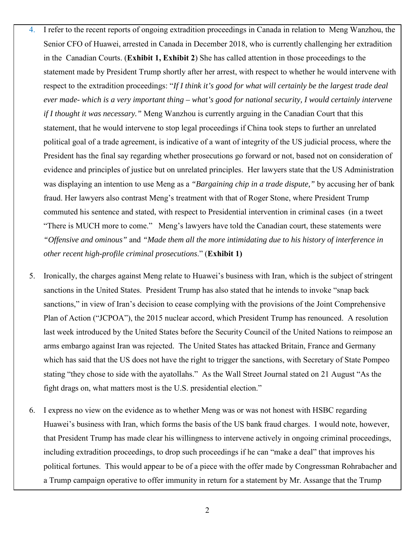- 4. I refer to the recent reports of ongoing extradition proceedings in Canada in relation to Meng Wanzhou, the Senior CFO of Huawei, arrested in Canada in December 2018, who is currently challenging her extradition in the Canadian Courts. (**Exhibit 1, Exhibit 2**) She has called attention in those proceedings to the statement made by President Trump shortly after her arrest, with respect to whether he would intervene with respect to the extradition proceedings: "*If I think it's good for what will certainly be the largest trade deal ever made- which is a very important thing – what's good for national security, I would certainly intervene if I thought it was necessary."* Meng Wanzhou is currently arguing in the Canadian Court that this statement, that he would intervene to stop legal proceedings if China took steps to further an unrelated political goal of a trade agreement, is indicative of a want of integrity of the US judicial process, where the President has the final say regarding whether prosecutions go forward or not, based not on consideration of evidence and principles of justice but on unrelated principles. Her lawyers state that the US Administration was displaying an intention to use Meng as a *"Bargaining chip in a trade dispute,"* by accusing her of bank fraud. Her lawyers also contrast Meng's treatment with that of Roger Stone, where President Trump commuted his sentence and stated, with respect to Presidential intervention in criminal cases (in a tweet "There is MUCH more to come." Meng's lawyers have told the Canadian court, these statements were *"Offensive and ominous"* and *"Made them all the more intimidating due to his history of interference in other recent high-profile criminal prosecutions*." (**Exhibit 1)**
- 5. Ironically, the charges against Meng relate to Huawei's business with Iran, which is the subject of stringent sanctions in the United States. President Trump has also stated that he intends to invoke "snap back sanctions," in view of Iran's decision to cease complying with the provisions of the Joint Comprehensive Plan of Action ("JCPOA"), the 2015 nuclear accord, which President Trump has renounced. A resolution last week introduced by the United States before the Security Council of the United Nations to reimpose an arms embargo against Iran was rejected. The United States has attacked Britain, France and Germany which has said that the US does not have the right to trigger the sanctions, with Secretary of State Pompeo stating "they chose to side with the ayatollahs." As the Wall Street Journal stated on 21 August "As the fight drags on, what matters most is the U.S. presidential election."
- 6. I express no view on the evidence as to whether Meng was or was not honest with HSBC regarding Huawei's business with Iran, which forms the basis of the US bank fraud charges. I would note, however, that President Trump has made clear his willingness to intervene actively in ongoing criminal proceedings, including extradition proceedings, to drop such proceedings if he can "make a deal" that improves his political fortunes. This would appear to be of a piece with the offer made by Congressman Rohrabacher and a Trump campaign operative to offer immunity in return for a statement by Mr. Assange that the Trump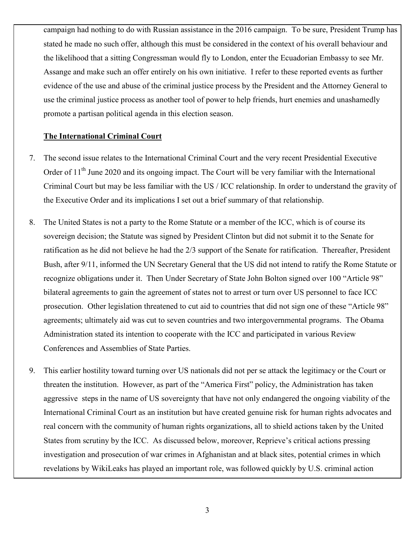campaign had nothing to do with Russian assistance in the 2016 campaign. To be sure, President Trump has stated he made no such offer, although this must be considered in the context of his overall behaviour and the likelihood that a sitting Congressman would fly to London, enter the Ecuadorian Embassy to see Mr. Assange and make such an offer entirely on his own initiative. I refer to these reported events as further evidence of the use and abuse of the criminal justice process by the President and the Attorney General to use the criminal justice process as another tool of power to help friends, hurt enemies and unashamedly promote a partisan political agenda in this election season.

# **The International Criminal Court**

- 7. The second issue relates to the International Criminal Court and the very recent Presidential Executive Order of  $11<sup>th</sup>$  June 2020 and its ongoing impact. The Court will be very familiar with the International Criminal Court but may be less familiar with the US / ICC relationship. In order to understand the gravity of the Executive Order and its implications I set out a brief summary of that relationship.
- 8. The United States is not a party to the Rome Statute or a member of the ICC, which is of course its sovereign decision; the Statute was signed by President Clinton but did not submit it to the Senate for ratification as he did not believe he had the 2/3 support of the Senate for ratification. Thereafter, President Bush, after 9/11, informed the UN Secretary General that the US did not intend to ratify the Rome Statute or recognize obligations under it. Then Under Secretary of State John Bolton signed over 100 "Article 98" bilateral agreements to gain the agreement of states not to arrest or turn over US personnel to face ICC prosecution. Other legislation threatened to cut aid to countries that did not sign one of these "Article 98" agreements; ultimately aid was cut to seven countries and two intergovernmental programs. The Obama Administration stated its intention to cooperate with the ICC and participated in various Review Conferences and Assemblies of State Parties.
- 9. This earlier hostility toward turning over US nationals did not per se attack the legitimacy or the Court or threaten the institution. However, as part of the "America First" policy, the Administration has taken aggressive steps in the name of US sovereignty that have not only endangered the ongoing viability of the International Criminal Court as an institution but have created genuine risk for human rights advocates and real concern with the community of human rights organizations, all to shield actions taken by the United States from scrutiny by the ICC. As discussed below, moreover, Reprieve's critical actions pressing investigation and prosecution of war crimes in Afghanistan and at black sites, potential crimes in which revelations by WikiLeaks has played an important role, was followed quickly by U.S. criminal action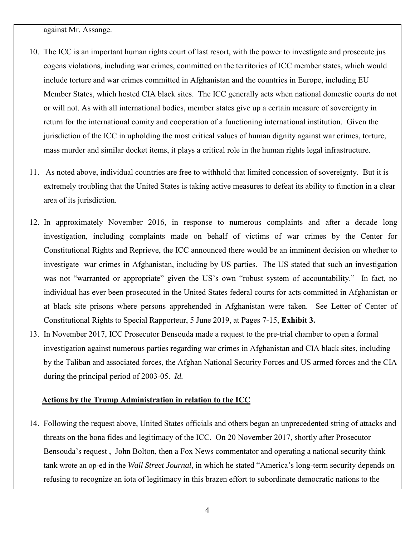against Mr. Assange.

- 10. The ICC is an important human rights court of last resort, with the power to investigate and prosecute jus cogens violations, including war crimes, committed on the territories of ICC member states, which would include torture and war crimes committed in Afghanistan and the countries in Europe, including EU Member States, which hosted CIA black sites. The ICC generally acts when national domestic courts do not or will not. As with all international bodies, member states give up a certain measure of sovereignty in return for the international comity and cooperation of a functioning international institution. Given the jurisdiction of the ICC in upholding the most critical values of human dignity against war crimes, torture, mass murder and similar docket items, it plays a critical role in the human rights legal infrastructure.
- 11. As noted above, individual countries are free to withhold that limited concession of sovereignty. But it is extremely troubling that the United States is taking active measures to defeat its ability to function in a clear area of its jurisdiction.
- 12. In approximately November 2016, in response to numerous complaints and after a decade long investigation, including complaints made on behalf of victims of war crimes by the Center for Constitutional Rights and Reprieve, the ICC announced there would be an imminent decision on whether to investigate war crimes in Afghanistan, including by US parties. The US stated that such an investigation was not "warranted or appropriate" given the US's own "robust system of accountability." In fact, no individual has ever been prosecuted in the United States federal courts for acts committed in Afghanistan or at black site prisons where persons apprehended in Afghanistan were taken. See Letter of Center of Constitutional Rights to Special Rapporteur, 5 June 2019, at Pages 7-15, **Exhibit 3.**
- 13. In November 2017, ICC Prosecutor Bensouda made a request to the pre-trial chamber to open a formal investigation against numerous parties regarding war crimes in Afghanistan and CIA black sites, including by the Taliban and associated forces, the Afghan National Security Forces and US armed forces and the CIA during the principal period of 2003-05. *Id.*

#### **Actions by the Trump Administration in relation to the ICC**

14. Following the request above, United States officials and others began an unprecedented string of attacks and threats on the bona fides and legitimacy of the ICC. On 20 November 2017, shortly after Prosecutor Bensouda's request , John Bolton, then a Fox News commentator and operating a national security think tank wrote an op-ed in the *Wall Street Journal*, in which he stated "America's long-term security depends on refusing to recognize an iota of legitimacy in this brazen effort to subordinate democratic nations to the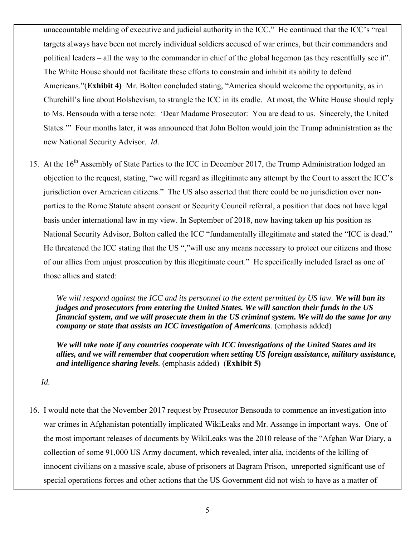unaccountable melding of executive and judicial authority in the ICC." He continued that the ICC's "real targets always have been not merely individual soldiers accused of war crimes, but their commanders and political leaders – all the way to the commander in chief of the global hegemon (as they resentfully see it". The White House should not facilitate these efforts to constrain and inhibit its ability to defend Americans."(**Exhibit 4)** Mr. Bolton concluded stating, "America should welcome the opportunity, as in Churchill's line about Bolshevism, to strangle the ICC in its cradle. At most, the White House should reply to Ms. Bensouda with a terse note: 'Dear Madame Prosecutor: You are dead to us. Sincerely, the United States.'" Four months later, it was announced that John Bolton would join the Trump administration as the new National Security Advisor. *Id.*

15. At the 16<sup>th</sup> Assembly of State Parties to the ICC in December 2017, the Trump Administration lodged an objection to the request, stating, "we will regard as illegitimate any attempt by the Court to assert the ICC's jurisdiction over American citizens." The US also asserted that there could be no jurisdiction over nonparties to the Rome Statute absent consent or Security Council referral, a position that does not have legal basis under international law in my view. In September of 2018, now having taken up his position as National Security Advisor, Bolton called the ICC "fundamentally illegitimate and stated the "ICC is dead." He threatened the ICC stating that the US ","will use any means necessary to protect our citizens and those of our allies from unjust prosecution by this illegitimate court." He specifically included Israel as one of those allies and stated:

*We will respond against the ICC and its personnel to the extent permitted by US law. We will ban its judges and prosecutors from entering the United States. We will sanction their funds in the US financial system, and we will prosecute them in the US criminal system. We will do the same for any company or state that assists an ICC investigation of Americans.* (emphasis added)

*We will take note if any countries cooperate with ICC investigations of the United States and its allies, and we will remember that cooperation when setting US foreign assistance, military assistance, and intelligence sharing levels.* (emphasis added) (**Exhibit 5)**

*Id.*

16. I would note that the November 2017 request by Prosecutor Bensouda to commence an investigation into war crimes in Afghanistan potentially implicated WikiLeaks and Mr. Assange in important ways. One of the most important releases of documents by WikiLeaks was the 2010 release of the "Afghan War Diary, a collection of some 91,000 US Army document, which revealed, inter alia, incidents of the killing of innocent civilians on a massive scale, abuse of prisoners at Bagram Prison, unreported significant use of special operations forces and other actions that the US Government did not wish to have as a matter of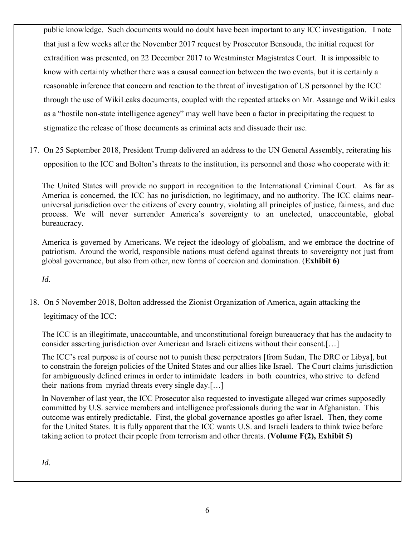public knowledge. Such documents would no doubt have been important to any ICC investigation. I note that just a few weeks after the November 2017 request by Prosecutor Bensouda, the initial request for extradition was presented, on 22 December 2017 to Westminster Magistrates Court. It is impossible to know with certainty whether there was a causal connection between the two events, but it is certainly a reasonable inference that concern and reaction to the threat of investigation of US personnel by the ICC through the use of WikiLeaks documents, coupled with the repeated attacks on Mr. Assange and WikiLeaks as a "hostile non-state intelligence agency" may well have been a factor in precipitating the request to stigmatize the release of those documents as criminal acts and dissuade their use.

17. On 25 September 2018, President Trump delivered an address to the UN General Assembly, reiterating his opposition to the ICC and Bolton's threats to the institution, its personnel and those who cooperate with it:

The United States will provide no support in recognition to the International Criminal Court. As far as America is concerned, the ICC has no jurisdiction, no legitimacy, and no authority. The ICC claims nearuniversal jurisdiction over the citizens of every country, violating all principles of justice, fairness, and due process. We will never surrender America's sovereignty to an unelected, unaccountable, global bureaucracy.

America is governed by Americans. We reject the ideology of globalism, and we embrace the doctrine of patriotism. Around the world, responsible nations must defend against threats to sovereignty not just from global governance, but also from other, new forms of coercion and domination. (**Exhibit 6)** 

*Id.*

18. On 5 November 2018, Bolton addressed the Zionist Organization of America, again attacking the legitimacy of the ICC:

The ICC is an illegitimate, unaccountable, and unconstitutional foreign bureaucracy that has the audacity to consider asserting jurisdiction over American and Israeli citizens without their consent.[…]

The ICC's real purpose is of course not to punish these perpetrators [from Sudan, The DRC or Libya], but to constrain the foreign policies of the United States and our allies like Israel. The Court claims jurisdiction for ambiguously defined crimes in order to intimidate leaders in both countries, who strive to defend their nations from myriad threats every single day.[…]

In November of last year, the ICC Prosecutor also requested to investigate alleged war crimes supposedly committed by U.S. service members and intelligence professionals during the war in Afghanistan. This outcome was entirely predictable. First, the global governance apostles go after Israel. Then, they come for the United States. It is fully apparent that the ICC wants U.S. and Israeli leaders to think twice before taking action to protect their people from terrorism and other threats. (**Volume F(2), Exhibit 5)** 

*Id.*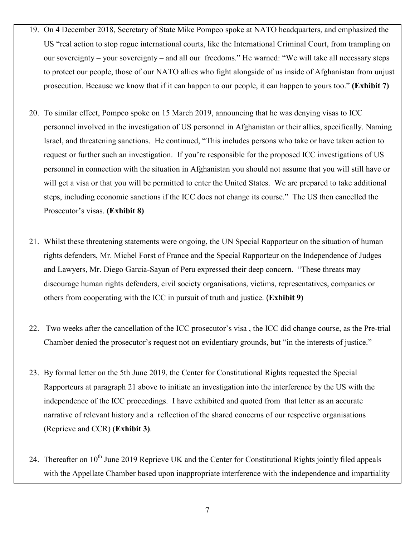- 19. On 4 December 2018, Secretary of State Mike Pompeo spoke at NATO headquarters, and emphasized the US "real action to stop rogue international courts, like the International Criminal Court, from trampling on our sovereignty – your sovereignty – and all our freedoms." He warned: "We will take all necessary steps to protect our people, those of our NATO allies who fight alongside of us inside of Afghanistan from unjust prosecution. Because we know that if it can happen to our people, it can happen to yours too." **(Exhibit 7)**
- 20. To similar effect, Pompeo spoke on 15 March 2019, announcing that he was denying visas to ICC personnel involved in the investigation of US personnel in Afghanistan or their allies, specifically. Naming Israel, and threatening sanctions. He continued, "This includes persons who take or have taken action to request or further such an investigation. If you're responsible for the proposed ICC investigations of US personnel in connection with the situation in Afghanistan you should not assume that you will still have or will get a visa or that you will be permitted to enter the United States. We are prepared to take additional steps, including economic sanctions if the ICC does not change its course." The US then cancelled the Prosecutor's visas. **(Exhibit 8)**
- 21. Whilst these threatening statements were ongoing, the UN Special Rapporteur on the situation of human rights defenders, Mr. Michel Forst of France and the Special Rapporteur on the Independence of Judges and Lawyers, Mr. Diego Garcia-Sayan of Peru expressed their deep concern. "These threats may discourage human rights defenders, civil society organisations, victims, representatives, companies or others from cooperating with the ICC in pursuit of truth and justice. (**Exhibit 9)**
- 22. Two weeks after the cancellation of the ICC prosecutor's visa , the ICC did change course, as the Pre-trial Chamber denied the prosecutor's request not on evidentiary grounds, but "in the interests of justice."
- 23. By formal letter on the 5th June 2019, the Center for Constitutional Rights requested the Special Rapporteurs at paragraph 21 above to initiate an investigation into the interference by the US with the independence of the ICC proceedings. I have exhibited and quoted from that letter as an accurate narrative of relevant history and a reflection of the shared concerns of our respective organisations (Reprieve and CCR) (**Exhibit 3)**.
- 24. Thereafter on 10<sup>th</sup> June 2019 Reprieve UK and the Center for Constitutional Rights jointly filed appeals with the Appellate Chamber based upon inappropriate interference with the independence and impartiality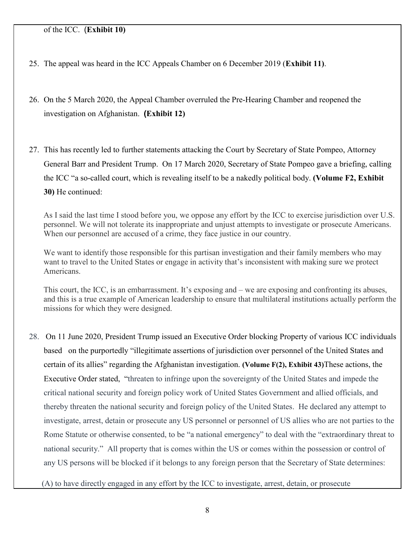## of the ICC. (**Exhibit 10)**

- 25. The appeal was heard in the ICC Appeals Chamber on 6 December 2019 (**Exhibit 11)**.
- 26. On the 5 March 2020, the Appeal Chamber overruled the Pre-Hearing Chamber and reopened the investigation on Afghanistan. **(Exhibit 12)**
- 27. This has recently led to further statements attacking the Court by Secretary of State Pompeo, Attorney General Barr and President Trump. On 17 March 2020, Secretary of State Pompeo gave a briefing, calling the ICC "a so-called court, which is revealing itself to be a nakedly political body. **(Volume F2, Exhibit 30)** He continued:

As I said the last time I stood before you, we oppose any effort by the ICC to exercise jurisdiction over U.S. personnel. We will not tolerate its inappropriate and unjust attempts to investigate or prosecute Americans. When our personnel are accused of a crime, they face justice in our country.

We want to identify those responsible for this partisan investigation and their family members who may want to travel to the United States or engage in activity that's inconsistent with making sure we protect Americans.

This court, the ICC, is an embarrassment. It's exposing and – we are exposing and confronting its abuses, and this is a true example of American leadership to ensure that multilateral institutions actually perform the missions for which they were designed.

28. On 11 June 2020, President Trump issued an Executive Order blocking Property of various ICC individuals based on the purportedly "illegitimate assertions of jurisdiction over personnel of the United States and certain of its allies" regarding the Afghanistan investigation. **(Volume F(2), Exhibit 43)**These actions, the Executive Order stated, "threaten to infringe upon the sovereignty of the United States and impede the critical national security and foreign policy work of United States Government and allied officials, and thereby threaten the national security and foreign policy of the United States. He declared any attempt to investigate, arrest, detain or prosecute any US personnel or personnel of US allies who are not parties to the Rome Statute or otherwise consented, to be "a national emergency" to deal with the "extraordinary threat to national security." All property that is comes within the US or comes within the possession or control of any US persons will be blocked if it belongs to any foreign person that the Secretary of State determines:

(A) to have directly engaged in any effort by the ICC to investigate, arrest, detain, or prosecute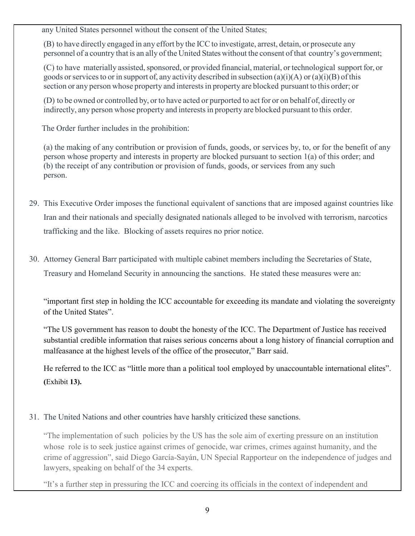any United States personnel without the consent of the United States;

(B) to have directly engaged in any effort by the ICC to investigate, arrest, detain, or prosecute any personnel of a country that is an ally of the United States without the consent of that country's government;

(C) to have materially assisted, sponsored, or provided financial, material, or technological support for, or goods or services to or in support of, any activity described in subsection (a)(i)(A) or (a)(i)(B) of this section or any person whose property and interests in property are blocked pursuant to this order; or

(D) to be owned or controlled by, or to have acted or purported to act for or on behalf of, directly or indirectly, any person whose property and interests in property are blocked pursuant to this order.

The Order further includes in the prohibition:

(a) the making of any contribution or provision of funds, goods, or services by, to, or for the benefit of any person whose property and interests in property are blocked pursuant to section 1(a) of this order; and (b) the receipt of any contribution or provision of funds, goods, or services from any such person.

- 29. This Executive Order imposes the functional equivalent of sanctions that are imposed against countries like Iran and their nationals and specially designated nationals alleged to be involved with terrorism, narcotics trafficking and the like. Blocking of assets requires no prior notice.
- 30. Attorney General Barr participated with multiple cabinet members including the Secretaries of State, Treasury and Homeland Security in announcing the sanctions. He stated these measures were an:

"important first step in holding the ICC accountable for exceeding its mandate and violating the sovereignty of the United States".

"The US government has reason to doubt the honesty of the ICC. The Department of Justice has received substantial credible information that raises serious concerns about a long history of financial corruption and malfeasance at the highest levels of the office of the prosecutor," Barr said.

He referred to the ICC as "little more than a political tool employed by unaccountable international elites". **(**[Exhibit](https://www.theguardian.com/us-news/2020/jun/11/trump-icc-us-war-crimes-investigation-sanctions) **13).**

31. The United Nations and other countries have harshly criticized these sanctions.

"The implementation of such policies by the US has the sole aim of exerting pressure on an institution whose role is to seek justice against crimes of genocide, war crimes, crimes against humanity, and the crime of aggression", said Diego García-Sayán, UN Special Rapporteur on the independence of judges and lawyers, speaking on behalf of the 34 experts.

"It's a further step in pressuring the ICC and coercing its officials in the context of independent and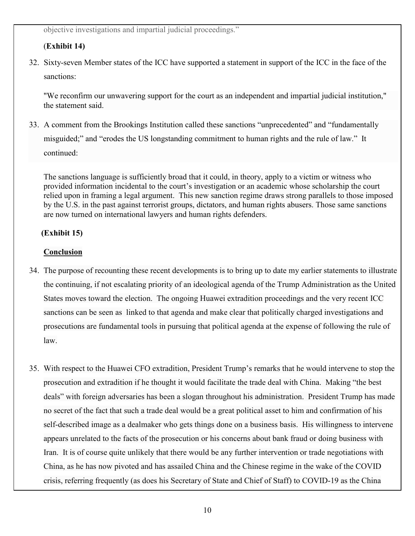objective investigations and impartial judicial proceedings."

# (**Exhibit 14)**

32. Sixty-seven Member states of the ICC have supported a statement in support of the ICC in the face of the sanctions:

"We reconfirm our unwavering support for the court as an independent and impartial judicial institution," the statement said.

33. A comment from the Brookings Institution called these sanctions "unprecedented" and "fundamentally misguided;" and "erodes the US longstanding commitment to human rights and the rule of law." It continued:

The sanctions language is sufficiently broad that it could, in theory, apply to a victim or witness who provided information incidental to the court's investigation or an academic whose scholarship the court relied upon in framing a legal argument. This new sanction regime draws strong parallels to those imposed by the U.S. in the past against terrorist groups, dictators, and human rights abusers. Those same sanctions are now turned on international lawyers and human rights defenders.

# **(Exhibit 15)**

# **Conclusion**

- 34. The purpose of recounting these recent developments is to bring up to date my earlier statements to illustrate the continuing, if not escalating priority of an ideological agenda of the Trump Administration as the United States moves toward the election. The ongoing Huawei extradition proceedings and the very recent ICC sanctions can be seen as linked to that agenda and make clear that politically charged investigations and prosecutions are fundamental tools in pursuing that political agenda at the expense of following the rule of law.
- 35. With respect to the Huawei CFO extradition, President Trump's remarks that he would intervene to stop the prosecution and extradition if he thought it would facilitate the trade deal with China. Making "the best deals" with foreign adversaries has been a slogan throughout his administration. President Trump has made no secret of the fact that such a trade deal would be a great political asset to him and confirmation of his self-described image as a dealmaker who gets things done on a business basis. His willingness to intervene appears unrelated to the facts of the prosecution or his concerns about bank fraud or doing business with Iran. It is of course quite unlikely that there would be any further intervention or trade negotiations with China, as he has now pivoted and has assailed China and the Chinese regime in the wake of the COVID crisis, referring frequently (as does his Secretary of State and Chief of Staff) to COVID-19 as the China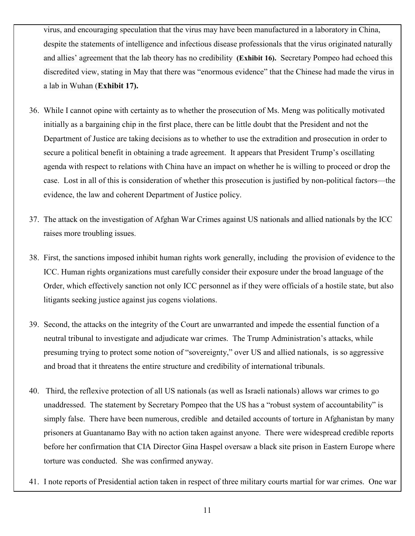virus, and encouraging speculation that the virus may have been manufactured in a laboratory in China, despite the statements of intelligence and infectious disease professionals that the virus originated naturally and allies' agreement that the lab theory has no credibility **[\(Exhibit](https://www.aljazeera.com/programmes/newsfeed/2020/05/trump-claims-coronavirus-wuhan-lab-200504121203518.html) 16).** Secretary Pompeo had echoed this discredited view, stating in May that there was "enormous evidence" that the Chinese had made the virus in a lab in Wuhan (**Exhibit 17).**

- 36. While I cannot opine with certainty as to whether the prosecution of Ms. Meng was politically motivated initially as a bargaining chip in the first place, there can be little doubt that the President and not the Department of Justice are taking decisions as to whether to use the extradition and prosecution in order to secure a political benefit in obtaining a trade agreement. It appears that President Trump's oscillating agenda with respect to relations with China have an impact on whether he is willing to proceed or drop the case. Lost in all of this is consideration of whether this prosecution is justified by non-political factors—the evidence, the law and coherent Department of Justice policy.
- 37. The attack on the investigation of Afghan War Crimes against US nationals and allied nationals by the ICC raises more troubling issues.
- 38. First, the sanctions imposed inhibit human rights work generally, including the provision of evidence to the ICC. Human rights organizations must carefully consider their exposure under the broad language of the Order, which effectively sanction not only ICC personnel as if they were officials of a hostile state, but also litigants seeking justice against jus cogens violations.
- 39. Second, the attacks on the integrity of the Court are unwarranted and impede the essential function of a neutral tribunal to investigate and adjudicate war crimes. The Trump Administration's attacks, while presuming trying to protect some notion of "sovereignty," over US and allied nationals, is so aggressive and broad that it threatens the entire structure and credibility of international tribunals.
- 40. Third, the reflexive protection of all US nationals (as well as Israeli nationals) allows war crimes to go unaddressed. The statement by Secretary Pompeo that the US has a "robust system of accountability" is simply false. There have been numerous, credible and detailed accounts of torture in Afghanistan by many prisoners at Guantanamo Bay with no action taken against anyone. There were widespread credible reports before her confirmation that CIA Director Gina Haspel oversaw a black site prison in Eastern Europe where torture was conducted. She was confirmed anyway.
- 41. I note reports of Presidential action taken in respect of three military courts martial for war crimes. One war